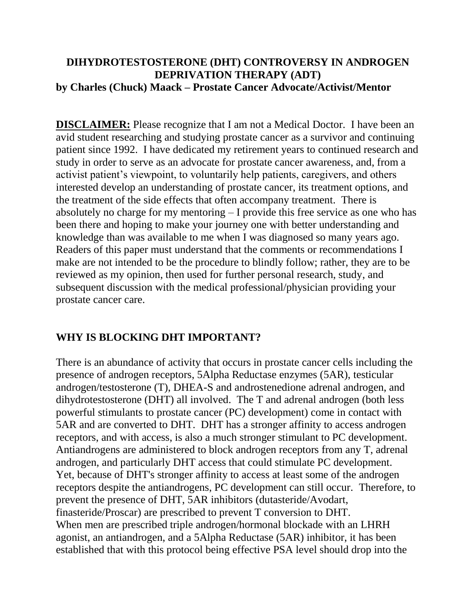## **DIHYDROTESTOSTERONE (DHT) CONTROVERSY IN ANDROGEN DEPRIVATION THERAPY (ADT) by Charles (Chuck) Maack – Prostate Cancer Advocate/Activist/Mentor**

**DISCLAIMER:** Please recognize that I am not a Medical Doctor. I have been an avid student researching and studying prostate cancer as a survivor and continuing patient since 1992. I have dedicated my retirement years to continued research and study in order to serve as an advocate for prostate cancer awareness, and, from a activist patient's viewpoint, to voluntarily help patients, caregivers, and others interested develop an understanding of prostate cancer, its treatment options, and the treatment of the side effects that often accompany treatment. There is absolutely no charge for my mentoring – I provide this free service as one who has been there and hoping to make your journey one with better understanding and knowledge than was available to me when I was diagnosed so many years ago. Readers of this paper must understand that the comments or recommendations I make are not intended to be the procedure to blindly follow; rather, they are to be reviewed as my opinion, then used for further personal research, study, and subsequent discussion with the medical professional/physician providing your prostate cancer care.

## **WHY IS BLOCKING DHT IMPORTANT?**

There is an abundance of activity that occurs in prostate cancer cells including the presence of androgen receptors, 5Alpha Reductase enzymes (5AR), testicular androgen/testosterone (T), DHEA-S and androstenedione adrenal androgen, and dihydrotestosterone (DHT) all involved. The T and adrenal androgen (both less powerful stimulants to prostate cancer (PC) development) come in contact with 5AR and are converted to DHT. DHT has a stronger affinity to access androgen receptors, and with access, is also a much stronger stimulant to PC development. Antiandrogens are administered to block androgen receptors from any T, adrenal androgen, and particularly DHT access that could stimulate PC development. Yet, because of DHT's stronger affinity to access at least some of the androgen receptors despite the antiandrogens, PC development can still occur. Therefore, to prevent the presence of DHT, 5AR inhibitors (dutasteride/Avodart, finasteride/Proscar) are prescribed to prevent T conversion to DHT. When men are prescribed triple androgen/hormonal blockade with an LHRH agonist, an antiandrogen, and a 5Alpha Reductase (5AR) inhibitor, it has been established that with this protocol being effective PSA level should drop into the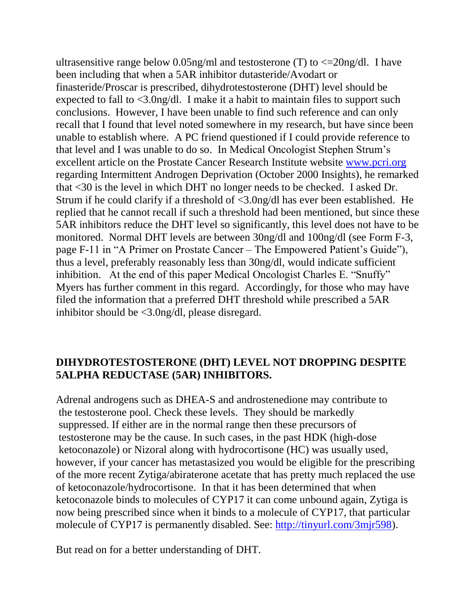ultrasensitive range below 0.05ng/ml and testosterone (T) to  $\leq$  20ng/dl. I have been including that when a 5AR inhibitor dutasteride/Avodart or finasteride/Proscar is prescribed, dihydrotestosterone (DHT) level should be expected to fall to <3.0ng/dl. I make it a habit to maintain files to support such conclusions. However, I have been unable to find such reference and can only recall that I found that level noted somewhere in my research, but have since been unable to establish where. A PC friend questioned if I could provide reference to that level and I was unable to do so. In Medical Oncologist Stephen Strum's excellent article on the Prostate Cancer Research Institute website [www.pcri.org](http://www.pcri.org/) regarding Intermittent Androgen Deprivation (October 2000 Insights), he remarked that <30 is the level in which DHT no longer needs to be checked. I asked Dr. Strum if he could clarify if a threshold of <3.0ng/dl has ever been established. He replied that he cannot recall if such a threshold had been mentioned, but since these 5AR inhibitors reduce the DHT level so significantly, this level does not have to be monitored. Normal DHT levels are between 30ng/dl and 100ng/dl (see Form F-3, page F-11 in "A Primer on Prostate Cancer – The Empowered Patient's Guide"), thus a level, preferably reasonably less than 30ng/dl, would indicate sufficient inhibition. At the end of this paper Medical Oncologist Charles E. "Snuffy" Myers has further comment in this regard. Accordingly, for those who may have filed the information that a preferred DHT threshold while prescribed a 5AR inhibitor should be <3.0ng/dl, please disregard.

## **DIHYDROTESTOSTERONE (DHT) LEVEL NOT DROPPING DESPITE 5ALPHA REDUCTASE (5AR) INHIBITORS.**

Adrenal androgens such as DHEA-S and androstenedione may contribute to the testosterone pool. Check these levels. They should be markedly suppressed. If either are in the normal range then these precursors of testosterone may be the cause. In such cases, in the past HDK (high-dose ketoconazole) or Nizoral along with hydrocortisone (HC) was usually used, however, if your cancer has metastasized you would be eligible for the prescribing of the more recent Zytiga/abiraterone acetate that has pretty much replaced the use of ketoconazole/hydrocortisone. In that it has been determined that when ketoconazole binds to molecules of CYP17 it can come unbound again, Zytiga is now being prescribed since when it binds to a molecule of CYP17, that particular molecule of CYP17 is permanently disabled. See: [http://tinyurl.com/3mjr598\)](http://tinyurl.com/3mjr598).

But read on for a better understanding of DHT.